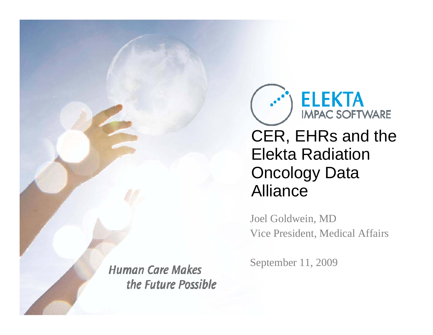

CER, EHRs and the Elekta Radiation Oncology Data Alliance

Joel Goldwein, MD Vice President, Medical Affairs

**Human Care Makes** the Future Possible September 11, 2009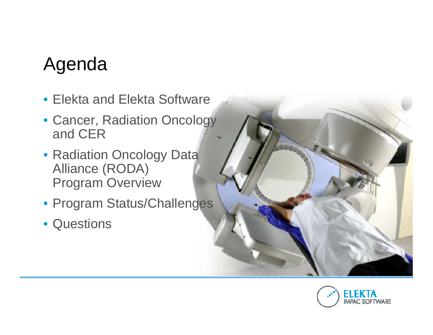## Agenda

- Elekta and Elekta Software
- Cancer, Radiation Oncology and CER
- Radiation Oncology Data Alliance (RODA) Program Overview
- Program Status/Challenges
- Questions

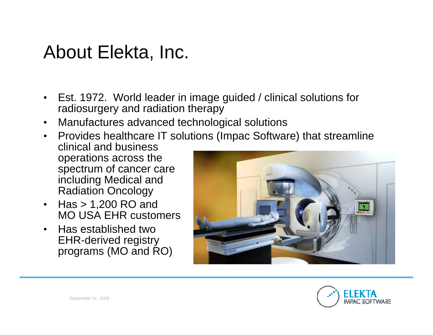### About Elekta, Inc.

- Est. 1972. World leader in image guided / clinical solutions for radiosurgery and radiation therapy
- $\bullet$ Manufactures advanced technological solutions
- Provides healthcare IT solutions (Impac Software) that streamline clinical and business operations across the spectrum of cancer care including Medical and Radiation Oncology
- • Has > 1,200 RO and MO USA EHR customers
- • Has established twoEHR-derived registry programs (MO and RO)



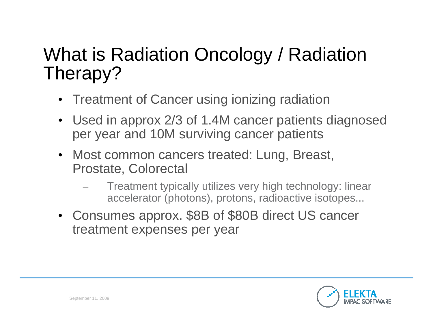## What is Radiation Oncology / Radiation Therapy?

- •Treatment of Cancer using ionizing radiation
- • Used in approx 2/3 of 1.4M cancer patients diagnosed per year and 10M surviving cancer patients
- • Most common cancers treated: Lung, Breast, Prostate, Colorectal
	- Treatment typically utilizes very high technology: linear accelerator (photons), protons, radioactive isotopes...
- Consumes approx. \$8B of \$80B direct US cancer treatment expenses per year

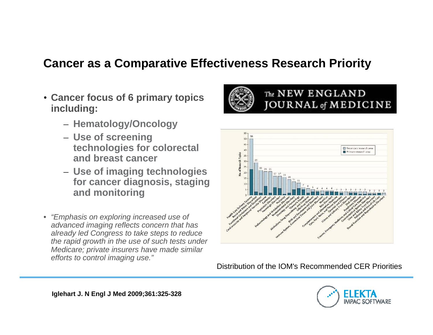#### **Cancer as a Comparative Effectiveness Research Priority**

- **Cancer focus of 6 primary topics including:**
	- **Hematology/Oncology**
	- **Use of screening technologies for colorectal and breast cancer**
	- **Use of imaging technologies for cancer diagnosis, staging and monitoring**
- *"Emphasis on exploring increased use of advanced imaging reflects concern that has already led Congress to take steps to reduce the rapid growth in the use of such tests under Medicare; private insurers have made similar efforts to control imaging use."*



#### The NEW ENGLAND JOURNAL of MEDICINE



Distribution of the IOM's Recommended CER Priorities

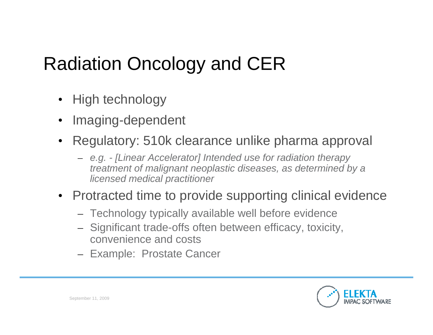## Radiation Oncology and CER

- •High technology
- •Imaging-dependent
- • Regulatory: 510k clearance unlike pharma approval
	- *e.g. - [Linear Accelerator] Intended use for radiation therapy treatment of malignant neoplastic diseases, as determined by a licensed medical practitioner*
- Protracted time to provide supporting clinical evidence
	- Technology typically available well before evidence
	- Significant trade-offs often between efficacy, toxicity, convenience and costs
	- Example: Prostate Cancer

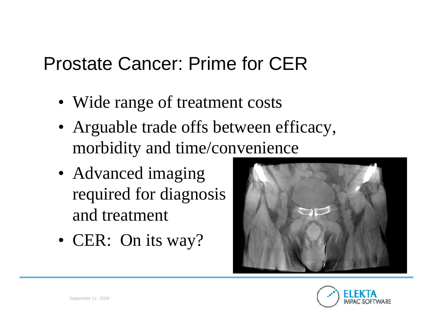## Prostate Cancer: Prime for CER

- Wide range of treatment costs
- Arguable trade offs between efficacy, morbidity and time/convenience
- Advanced imaging required for diagnosis and treatment
- CER: On its way?



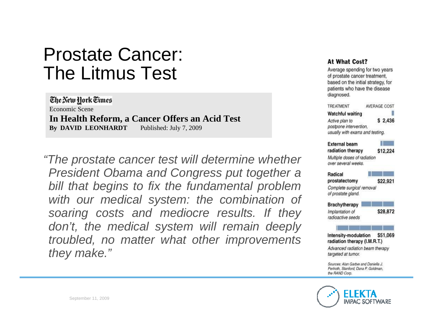### Prostate Cancer: The Litmus Test

The New York Times Economic Scene **In Health Reform, a Cancer Offers an Acid Test** By DAVID LEONHARDT Published: July 7, 2009

*"The prostate cancer test will determine whether President Obama and Congress put together a bill that begins to fix the fundamental problem with our medical system: the combination of soaring costs and mediocre results. If they don't, the medical system will remain deeply troubled, no matter what other improvements they make."*

#### At What Cost?

Average spending for two years of prostate cancer treatment, based on the initial strategy, for patients who have the disease diagnosed.

| TREATMENT                                                                                     | AVERAGE COST                    |
|-----------------------------------------------------------------------------------------------|---------------------------------|
| <b>Watchful waiting</b>                                                                       |                                 |
| Active plan to                                                                                | \$2,436                         |
| postpone intervention.                                                                        |                                 |
| usually with exams and testing.                                                               |                                 |
| <b>External beam</b>                                                                          |                                 |
| radiation therapy                                                                             | S12,224                         |
| Multiple doses of radiation                                                                   |                                 |
| over several weeks.                                                                           |                                 |
| Radical                                                                                       |                                 |
| prostatectomy                                                                                 | \$22,921                        |
| Complete surgical removal                                                                     |                                 |
| of prostate gland.                                                                            |                                 |
| <b>Brachytherapy</b>                                                                          |                                 |
| Implantation of                                                                               | \$28,872                        |
| radioactive seeds                                                                             |                                 |
|                                                                                               |                                 |
| Intensity-modulation<br>radiation therapy (I.M.R.T.)                                          | \$51,069                        |
|                                                                                               | Advanced radiation beam therapy |
| targeted at tumor.                                                                            |                                 |
| Sources: Alan Garber and Daniella J.<br>Periroth, Stanford: Dana P. Goldman,<br>the RAND Corn |                                 |

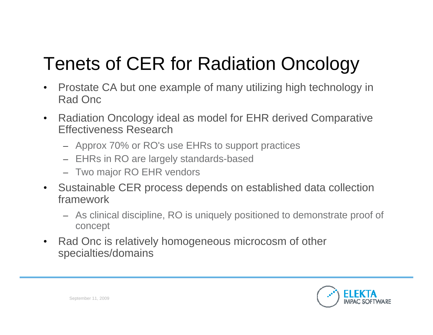# Tenets of CER for Radiation Oncology

- $\bullet$  Prostate CA but one example of many utilizing high technology in Rad Onc
- $\bullet$  Radiation Oncology ideal as model for EHR derived Comparative Effectiveness Research
	- Approx 70% or RO's use EHRs to support practices
	- EHRs in RO are largely standards-based
	- Two major RO EHR vendors
- $\bullet$  Sustainable CER process depends on established data collection framework
	- As clinical discipline, RO is uniquely positioned to demonstrate proof of concept
- $\bullet$  Rad Onc is relatively homogeneous microcosm of other specialties/domains

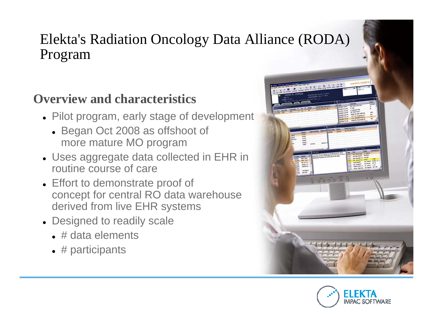### Elekta's Radiation Oncology Data Alliance (RODA) Program

### **Overview and characteristics**

- Pilot program, early stage of development
	- Began Oct 2008 as offshoot of more mature MO program
- $\bullet\,$  Uses aggregate data collected in EHR in routine course of care
- Effort to demonstrate proof of concept for central RO data warehouse derived from live EHR systems
- Designed to readily scale
	- $\bullet\;$  # data elements
	- $\bullet$  # participants



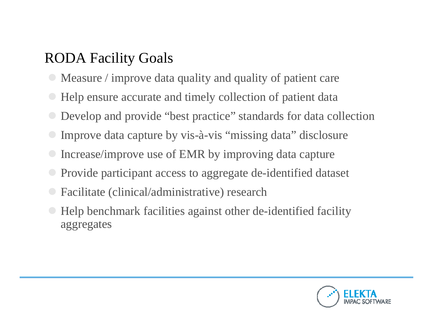### RODA Facility Goals

- Measure / improve data quality and quality of patient care
- Help ensure accurate and timely collection of patient data
- Develop and provide "best practice" standards for data collection
- Improve data capture by vis-à-vis "missing data" disclosure
- Increase/improve use of EMR by improving data capture
- Provide participant access to aggregate de-identified dataset
- Facilitate (clinical/administrative) research
- Help benchmark facilities against other de-identified facility aggregates

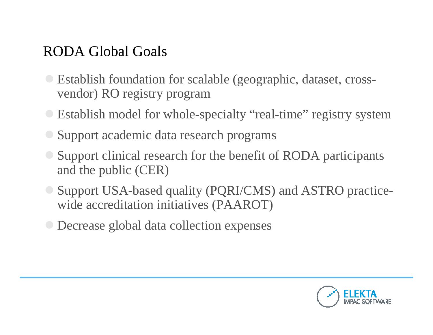### RODA Global Goals

- **Establish foundation for scalable (geographic, dataset, cross**vendor) RO registry program
- **Establish model for whole-specialty "real-time" registry system**
- Support academic data research programs
- Support clinical research for the benefit of RODA participants and the public (CER)
- Support USA-based quality (PQRI/CMS) and ASTRO practicewide accreditation initiatives (PAAROT)
- **O** Decrease global data collection expenses

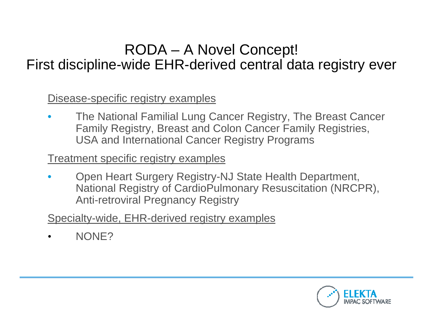### RODA – A Novel Concept!

### First discipline-wide EHR-derived central data registry ever

Disease-specific registry examples

• The National Familial Lung Cancer Registry, The Breast Cancer Family Registry, Breast and Colon Cancer Family Registries, USA and International Cancer Registry Programs

Treatment specific registry examples

• Open Heart Surgery Registry-NJ State Health Department, National Registry of CardioPulmonary Resuscitation (NRCPR), Anti-retroviral Pregnancy Registry

Specialty-wide, EHR-derived registry examples

•NONE?

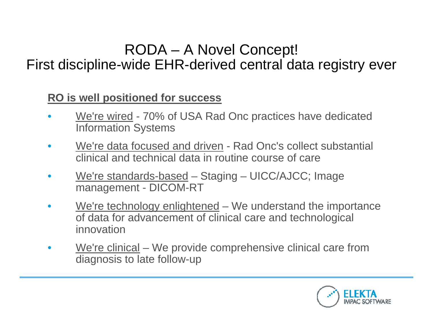### RODA – A Novel Concept!

### First discipline-wide EHR-derived central data registry ever

#### **RO is well positioned for success**

- •• We're wired - 70% of USA Rad Onc practices have dedicated Information Systems
- $\bullet$  We're data focused and driven - Rad Onc's collect substantial clinical and technical data in routine course of care
- $\bullet$ • We're standards-based – Staging – UICC/AJCC; Image management - DICOM-RT
- $\bullet$ We're technology enlightened – We understand the importance of data for advancement of clinical care and technological innovation
- •We're clinical – We provide comprehensive clinical care from diagnosis to late follow-up

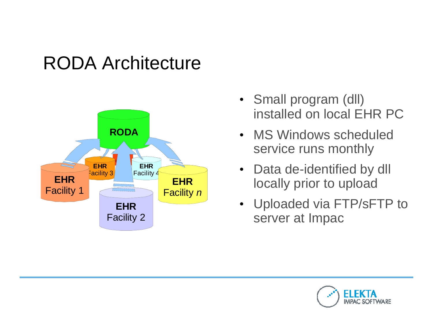## RODA Architecture



- Small program (dll) installed on local EHR PC
- MS Windows scheduled service runs monthly
- Data de-identified by dll locally prior to upload
- Uploaded via FTP/sFTP to server at Impac

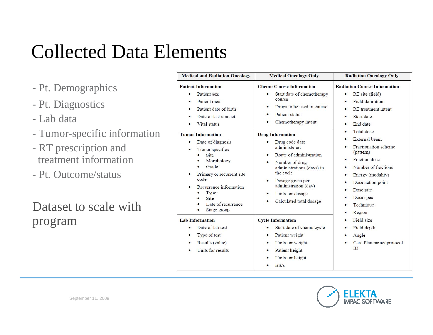## Collected Data Elements

- Pt. Demographics
- Pt. Diagnostics
- Lab data
- Tumor-specific information
- RT prescription and treatment information
- Pt. Outcome/status

### Dataset to scale withprogram

| <b>Medical and Radiation Oncology</b>                                                                                                                                                                                                                                                                                                                                                                                | <b>Medical Oncology Only</b>                                                                                                                                                                                                                                                                                                                                                                                                                                                          | <b>Radiation Oncology Only</b>                                                                                                                                                                                                                                                                                                                                                                                                                                      |  |  |  |
|----------------------------------------------------------------------------------------------------------------------------------------------------------------------------------------------------------------------------------------------------------------------------------------------------------------------------------------------------------------------------------------------------------------------|---------------------------------------------------------------------------------------------------------------------------------------------------------------------------------------------------------------------------------------------------------------------------------------------------------------------------------------------------------------------------------------------------------------------------------------------------------------------------------------|---------------------------------------------------------------------------------------------------------------------------------------------------------------------------------------------------------------------------------------------------------------------------------------------------------------------------------------------------------------------------------------------------------------------------------------------------------------------|--|--|--|
| <b>Patient Information</b><br>Patient sex<br>$\bullet$<br>Patient race<br>$\bullet$<br>Patient date of birth<br>Date of last contact<br>$\bullet$<br>Vital status<br>٠<br><b>Tumor Information</b><br>Date of diagnosis<br>٠<br>Tumor specifics<br>٠<br>Site<br>Morphology<br>Grade<br>Primary or recurrent site<br>$\bullet$<br>code<br>Recurrence information<br>Type<br>Site<br>Date of recurrence<br>Stage group | <b>Chemo Course Information</b><br>Start date of chemotherapy<br>$\bullet$<br>course<br>Drugs to be used in course<br>$\bullet$<br>Patient status<br>Chemotherapy intent<br><b>Drug Information</b><br>Drug code date<br>$\bullet$<br>administered<br>Route of administration<br>$\bullet$<br>Number of drug<br>$\bullet$<br>administrations (days) in<br>the cycle<br>Dosage given per<br>$\bullet$<br>administration (day)<br>Units for dosage<br>٠<br>Calculated total dosage<br>٠ | <b>Radiation Course Information</b><br>RT site (field)<br>٠<br>Field definition<br>٠<br>RT treatment intent<br>$\bullet$<br>Start date<br>$\bullet$<br>End date<br>٠<br><b>Total</b> dose<br>$\bullet$<br>External beam<br>$\bullet$<br>Fractionation scheme<br>$\bullet$<br>(pattern)<br><b>Fraction</b> dose<br>Number of fractions<br>٠<br>Energy (modality)<br>٠<br>Dose action point<br>٠<br>Dose rate<br>٠<br>Dose spec<br>٠<br>Technique<br>٠<br>Region<br>٠ |  |  |  |
| <b>Lab Information</b><br>Date of lab test<br>Type of test<br>$\bullet$<br>Results (value)<br>٠<br>Units for results                                                                                                                                                                                                                                                                                                 | <b>Cycle Information</b><br>Start date of chemo cycle<br>Patient weight<br>٠<br>Units for weight<br>٠<br>Patient height<br>٠<br>Units for height<br><b>BSA</b><br>٠                                                                                                                                                                                                                                                                                                                   | Field size<br>Field depth<br>٠<br>Angle<br>٠<br>Care Plan name/protocol<br>$\bullet$<br>ID                                                                                                                                                                                                                                                                                                                                                                          |  |  |  |

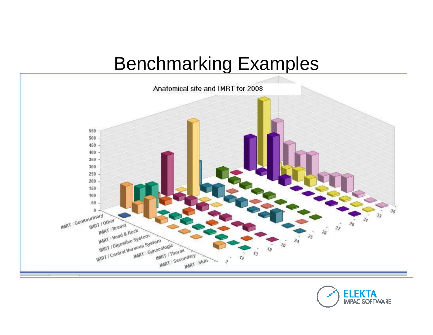## Benchmarking Examples



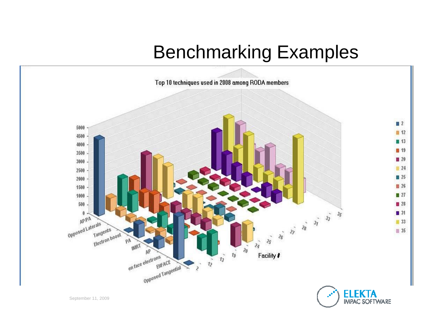## Benchmarking Examples

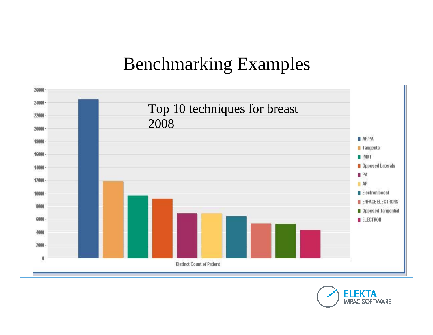### Benchmarking Examples



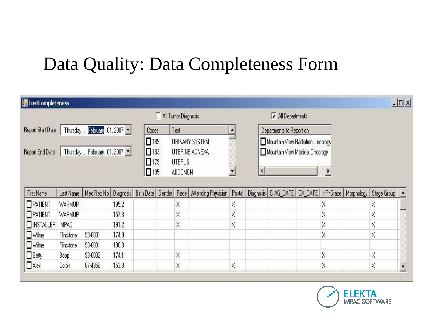### Data Quality: Data Completeness Form

| <b>Execution CustCompleteness</b>                |               |         |       |                                                                                                                               |                     |                                                                                                                        |                                                                                                                                                                |              |  |                          |  |   |  |          | $-10x$ |
|--------------------------------------------------|---------------|---------|-------|-------------------------------------------------------------------------------------------------------------------------------|---------------------|------------------------------------------------------------------------------------------------------------------------|----------------------------------------------------------------------------------------------------------------------------------------------------------------|--------------|--|--------------------------|--|---|--|----------|--------|
|                                                  |               |         |       |                                                                                                                               | All Tumor Diagnosis |                                                                                                                        |                                                                                                                                                                |              |  | All Departments          |  |   |  |          |        |
| Thursday, February 01, 2007<br>Report Start Date |               |         |       |                                                                                                                               | Codes               | Text                                                                                                                   |                                                                                                                                                                | $\triangleq$ |  | Departments to Report on |  |   |  |          |        |
| Thursday, February 01, 2007<br>Report End Date   |               |         |       | $\Box$ 189<br>URINARY SYSTEM<br>$\square$ 183<br>UTERINE ADNEXA<br>$\square$ 179<br><b>UTERUS</b><br>$\square$ 195<br>ABDOMEN |                     | Mountain View Radiation Oncology<br>Mountain View Medical Oncology<br>$\overline{\phantom{a}}$<br>$\blacklozenge$<br>Þ |                                                                                                                                                                |              |  |                          |  |   |  |          |        |
| First Name                                       | Last Name     |         |       |                                                                                                                               |                     |                                                                                                                        | Med Rec No   Diagnosis   Birth Date   Gender   Race   Attending Physician   Postal   Diagnosis   DIAG_DATE   DX_DATE   HP/Grade   Morphology   Stage Group   A |              |  |                          |  |   |  |          |        |
| $\Box$ PATIENT                                   | <b>WARMUP</b> |         | 195.2 |                                                                                                                               |                     | X                                                                                                                      |                                                                                                                                                                | X            |  |                          |  | X |  | X        |        |
| $\Box$ PATIENT                                   | WARMUP        |         | 157.3 |                                                                                                                               |                     | X                                                                                                                      |                                                                                                                                                                | X            |  |                          |  | X |  | $\times$ |        |
| <b>NSTALLER</b>                                  | IMPAC         |         | 191.2 |                                                                                                                               |                     | X                                                                                                                      |                                                                                                                                                                | X            |  |                          |  | X |  | $\times$ |        |
| $\Box$ Wilma                                     | Flintstone    | 93-0001 | 174.9 |                                                                                                                               |                     |                                                                                                                        |                                                                                                                                                                |              |  |                          |  | X |  | X        |        |
| $\Box$ Wilma                                     | Flintstone    | 93-0001 | 180.8 |                                                                                                                               |                     |                                                                                                                        |                                                                                                                                                                |              |  |                          |  |   |  |          |        |
| $\Box$ Betty                                     | Boop          | 93-0002 | 174.1 |                                                                                                                               |                     | X                                                                                                                      |                                                                                                                                                                |              |  |                          |  | X |  | $\times$ |        |
| $\Box$ Alex                                      | Colon         | 87-4356 | 153.3 |                                                                                                                               |                     | X                                                                                                                      |                                                                                                                                                                | Χ            |  |                          |  | X |  | X        |        |

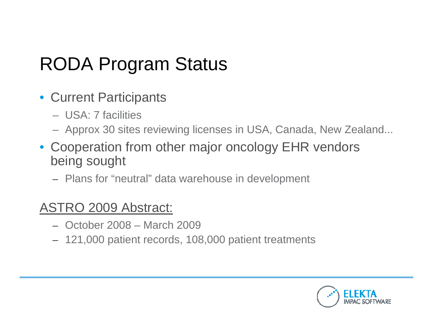## RODA Program Status

- Current Participants
	- USA: 7 facilities
	- Approx 30 sites reviewing licenses in USA, Canada, New Zealand...
- Cooperation from other major oncology EHR vendors being sought
	- Plans for "neutral" data warehouse in development

### ASTRO 2009 Abstract:

- October 2008 March 2009
- 121,000 patient records, 108,000 patient treatments

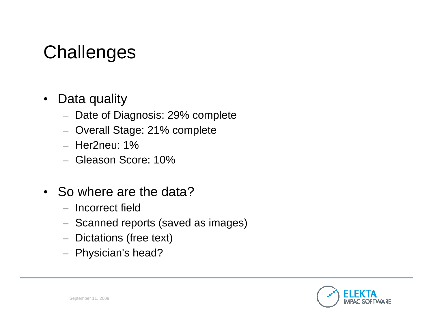## **Challenges**

- $\bullet$  Data quality
	- $-$  Date of Diagnosis: 29% complete
	- Overall Stage: 21% complete
	- Her2neu: 1%
	- Gleason Score: 10%
- So where are the data?
	- Incorrect field
	- Scanned reports (saved as images)
	- Dictations (free text)
	- Physician's head?

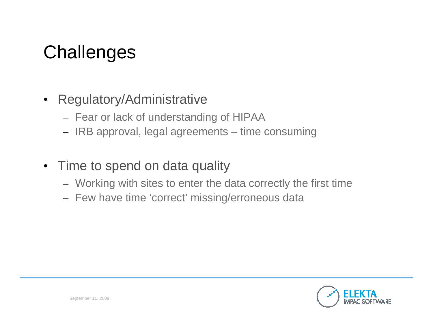## **Challenges**

### • Regulatory/Administrative

- Fear or lack of understanding of HIPAA
- IRB approval, legal agreements time consuming
- Time to spend on data quality
	- Working with sites to enter the data correctly the first time
	- Few have time 'correct' missing/erroneous data

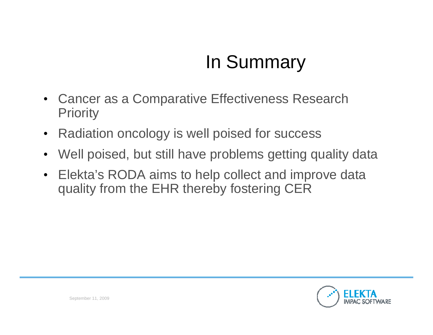## In Summary

- Cancer as a Comparative Effectiveness Research **Priority**
- $\bullet$ Radiation oncology is well poised for success
- $\bullet$ Well poised, but still have problems getting quality data
- $\bullet$  Elekta's RODA aims to help collect and improve data quality from the EHR thereby fostering CER